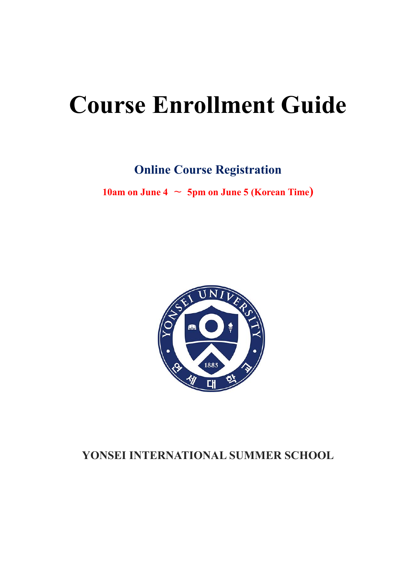# **Course Enrollment Guide**

**Online Course Registration**

**10am on June 4**  $\sim$  **5pm on June 5** (Korean Time)



# **YONSEI INTERNATIONAL SUMMER SCHOOL**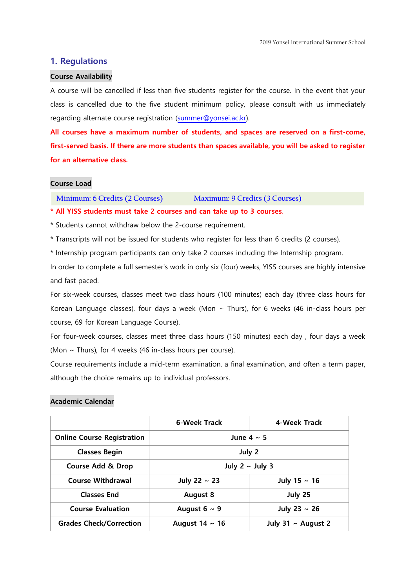#### **1. Regulations**

#### **Course Availability**

A course will be cancelled if less than five students register for the course. In the event that your class is cancelled due to the five student minimum policy, please consult with us immediately regarding alternate course registration [\(summer@yonsei.ac.kr\)](mailto:summer@yonsei.ac.kr).

**All courses have a maximum number of students, and spaces are reserved on a first-come, first-served basis. If there are more students than spaces available, you will be asked to register for an alternative class.**

#### **Course Load**

**Minimum: 6 Credits (2 Courses) Maximum: 9 Credits (3 Courses)**

**\* All YISS students must take 2 courses and can take up to 3 courses**.

\* Students cannot withdraw below the 2-course requirement.

\* Transcripts will not be issued for students who register for less than 6 credits (2 courses).

\* Internship program participants can only take 2 courses including the Internship program.

In order to complete a full semester's work in only six (four) weeks, YISS courses are highly intensive and fast paced.

For six-week courses, classes meet two class hours (100 minutes) each day (three class hours for Korean Language classes), four days a week (Mon  $\sim$  Thurs), for 6 weeks (46 in-class hours per course, 69 for Korean Language Course).

For four-week courses, classes meet three class hours (150 minutes) each day , four days a week (Mon  $\sim$  Thurs), for 4 weeks (46 in-class hours per course).

Course requirements include a mid-term examination, a final examination, and often a term paper, although the choice remains up to individual professors.

#### **Academic Calendar**

|                                   | 6-Week Track         | 4-Week Track            |  |  |  |  |  |
|-----------------------------------|----------------------|-------------------------|--|--|--|--|--|
| <b>Online Course Registration</b> |                      | June $4 \sim 5$         |  |  |  |  |  |
| <b>Classes Begin</b>              |                      | July 2                  |  |  |  |  |  |
| <b>Course Add &amp; Drop</b>      | July $2 \sim$ July 3 |                         |  |  |  |  |  |
| <b>Course Withdrawal</b>          | July 22 $\sim$ 23    | July 15 $\sim$ 16       |  |  |  |  |  |
| <b>Classes End</b>                | <b>August 8</b>      | July 25                 |  |  |  |  |  |
| <b>Course Evaluation</b>          | August $6 \sim 9$    | July 23 $\sim$ 26       |  |  |  |  |  |
| <b>Grades Check/Correction</b>    | August $14 \sim 16$  | July 31 $\sim$ August 2 |  |  |  |  |  |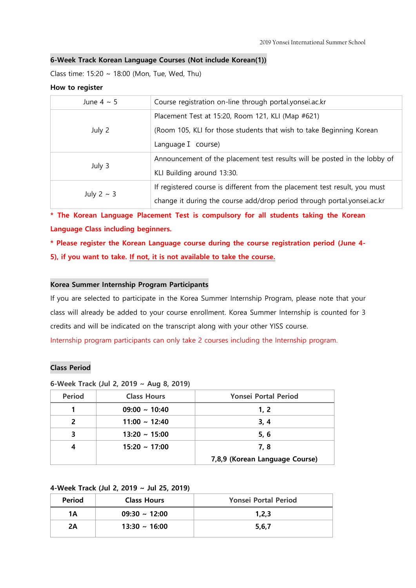#### **6-Week Track Korean Language Courses (Not include Korean(1))**

Class time: 15:20 ~ 18:00 (Mon, Tue, Wed, Thu)

#### **How to register**

| June $4 \sim 5$ | Course registration on-line through portal.yonsei.ac.kr                    |
|-----------------|----------------------------------------------------------------------------|
|                 | Placement Test at 15:20, Room 121, KLI (Map #621)                          |
| July 2          | (Room 105, KLI for those students that wish to take Beginning Korean       |
|                 | Language I course)                                                         |
|                 | Announcement of the placement test results will be posted in the lobby of  |
| July 3          | KLI Building around 13:30.                                                 |
|                 | If registered course is different from the placement test result, you must |
| July 2 $\sim$ 3 | change it during the course add/drop period through portal.yonsei.ac.kr    |

**\* The Korean Language Placement Test is compulsory for all students taking the Korean Language Class including beginners.**

**\* Please register the Korean Language course during the course registration period (June 4- 5), if you want to take. If not, it is not available to take the course.**

#### **Korea Summer Internship Program Participants**

If you are selected to participate in the Korea Summer Internship Program, please note that your class will already be added to your course enrollment. Korea Summer Internship is counted for 3 credits and will be indicated on the transcript along with your other YISS course. Internship program participants can only take 2 courses including the Internship program.

#### **Class Period**

#### **6-Week Track (Jul 2, 2019 ~ Aug 8, 2019)**

| <b>Period</b> | <b>Class Hours</b> | <b>Yonsei Portal Period</b>    |
|---------------|--------------------|--------------------------------|
|               | $09:00 \sim 10:40$ | 1, 2                           |
| 2             | $11:00 \sim 12:40$ | 3, 4                           |
|               | $13:20 \sim 15:00$ | 5, 6                           |
|               | $15:20 \sim 17:00$ | 7, 8                           |
|               |                    | 7,8,9 (Korean Language Course) |

#### **4-Week Track (Jul 2, 2019 ~ Jul 25, 2019)**

| <b>Period</b> | <b>Class Hours</b> | <b>Yonsei Portal Period</b> |
|---------------|--------------------|-----------------------------|
| 1Α            | $09:30 \sim 12:00$ | 1.2.3                       |
| 2Α            | $13:30 \sim 16:00$ | 5,6,7                       |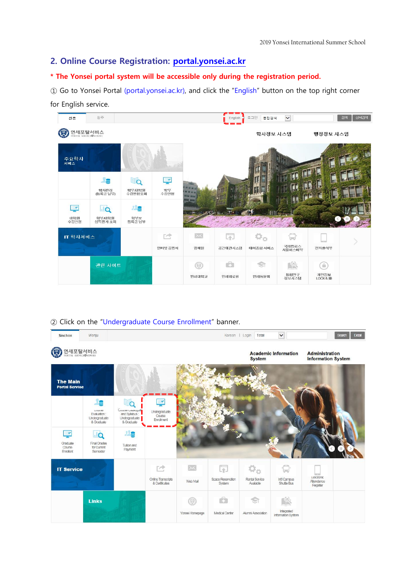## **2. Online Course Registration: [portal.yonsei.ac.kr](http://portal.yonsei.ac.kr/)**

#### **\* The Yonsei portal system will be accessible only during the registration period.**

① Go to Yonsei Portal (portal.yonsei.ac.kr), and click the "English" button on the top right corner for English service.



#### ② Click on the "Undergraduate Course Enrollment" banner.

| Sinchon                                  | Wonju                                                            |                                                       |                                                                   |                            | Korean   Login                   | Total                       | $\checkmark$                        |                                                    | Detail<br>Search |
|------------------------------------------|------------------------------------------------------------------|-------------------------------------------------------|-------------------------------------------------------------------|----------------------------|----------------------------------|-----------------------------|-------------------------------------|----------------------------------------------------|------------------|
| C<br>연세포탈서비스                             |                                                                  |                                                       |                                                                   |                            |                                  | <b>System</b>               | <b>Academic Information</b>         | <b>Administration</b><br><b>Information System</b> |                  |
| <b>The Main</b><br><b>Portal Service</b> |                                                                  |                                                       |                                                                   |                            |                                  |                             |                                     |                                                    |                  |
|                                          | e<br><b>LAAIDE</b><br>Evaluation:<br>Undergraduate<br>& Graduate | 30<br>Course Catalogue<br>Undergraduate<br>& Graduate | $\overline{\phantom{a}}$<br>Undergraduate<br>Course<br>Enrollment |                            |                                  |                             |                                     |                                                    |                  |
| 루<br>Graduate<br>Course<br>Enrollent     | $\Omega$<br>Final Grades<br>for Current<br>Semester              | e<br>Tuition and<br>Payment                           |                                                                   |                            |                                  |                             |                                     |                                                    |                  |
| <b>IT Service</b>                        |                                                                  |                                                       | 贮<br><b>Online Transcripts</b><br>& Certificates                  | $\times$<br>Web Mail       | 雨<br>Space Reservation<br>System | Rental Service<br>Available | tand<br>Int'l Campus<br>Shuttle Bus | EJectronic<br>Attendance<br>Register               |                  |
|                                          | <b>Links</b>                                                     |                                                       |                                                                   | $\circ$<br>Yonsei Homepage | Ġ.<br>Medical Center             | Alumni Association          | Integrated<br>Information System    |                                                    |                  |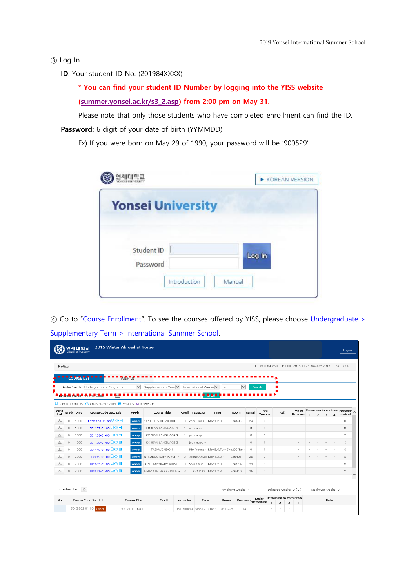③ Log In

**ID**: Your student ID No. (201984XXXX)

**\* You can find your student ID Number by logging into the YISS website [\(summer.yonsei.ac.kr/s3\\_2.asp\)](http://summer.yonsei.ac.kr/s3_2.asp) from 2:00 pm on May 31.**

Please note that only those students who have completed enrollment can find the ID.

**Password:** 6 digit of your date of birth (YYMMDD)

Ex) If you were born on May 29 of 1990, your password will be '900529'

| 연세대학교<br><sup>YONSELUNYURSITY</sup> |                        | KOREAN VERSION |
|-------------------------------------|------------------------|----------------|
| <b>Yonsei University</b>            |                        |                |
| <b>Student ID</b><br>Password       |                        | Log In         |
|                                     | Introduction<br>Manual |                |

④ Go to "Course Enrollment". To see the courses offered by YISS, please choose Undergraduate > Supplementary Term > International Summer School.

|              |            | 여세대한교<br><b>VONSEL UNIVERSITY</b> |                                                                                                        | 2015 Winter Abroad at Yonsei |                           |               |                                |                                           |                               |                        |                         |              |                |                                                           |  |                                   |                          | Logout                         |
|--------------|------------|-----------------------------------|--------------------------------------------------------------------------------------------------------|------------------------------|---------------------------|---------------|--------------------------------|-------------------------------------------|-------------------------------|------------------------|-------------------------|--------------|----------------|-----------------------------------------------------------|--|-----------------------------------|--------------------------|--------------------------------|
| Notice       |            |                                   |                                                                                                        |                              |                           |               |                                |                                           |                               |                        |                         |              |                | Waiting System Period 2015.11.23.08:00 ~ 2015.11.24.17:00 |  |                                   |                          |                                |
|              |            |                                   | 黒色魚影 野界 ヨヨヨヨヨヨヨ 秋樹乳樹目                                                                                  |                              |                           |               |                                |                                           |                               |                        |                         |              |                |                                                           |  |                                   |                          |                                |
|              |            |                                   | Major Search Undergraduate Programs                                                                    | $\mathord{\sim}$             | Supplementary Tern V      |               | International Winter V         | $-a$ ll-                                  |                               | $\checkmark$           | Search                  | т            |                |                                                           |  |                                   |                          |                                |
|              |            |                                   | = ਮਦ√word ਤਬਰਦn= ਦਿੱਖੀ se ਦਰਖਾ                                                                         |                              |                           |               |                                |                                           |                               |                        |                         |              |                |                                                           |  |                                   |                          |                                |
| Wish<br>List | Grade Unit |                                   | $\Box$ Identical Courses 2 Course Description $\Box$ Syllabus $\Box$ Reference<br>Course Code-Sec.-Lab | Apply                        | Course Title              |               | Credi Instructor               | Time                                      | Room                          | Remain                 | <b>Total</b><br>Waiting |              | Ref.           | Maior<br>Remainin                                         |  |                                   |                          | Remaining by each gra Exchange |
| 스            | $\circ$    | 1000                              | ECO1103-11-00 Q 3                                                                                      | <b>Apply</b>                 | PRINCIPLES OF MICROE      |               | 3 choi Byung ··· Mon1,2,3, ··· |                                           | Edu603                        | 24                     | $\circ$                 |              |                |                                                           |  | $\overline{\mathbf{z}}$           | $\overline{\bf{4}}$      | Student<br>$\circ$             |
| 소            | $\circ$    | 1000                              | IEE1137-01-00 QO 国                                                                                     | Apply                        | KOREAN LANGUAGE 1         |               | 1 jeon na yo…                  |                                           |                               | $\circ$                | $\circ$                 |              |                | $\sim$                                                    |  |                                   |                          | $\circ$                        |
| ٹ            | $\circ$    | 1000                              | IEE1138-01-00 QQ                                                                                       | <b>Apply</b>                 | KOREAN LANGUAGE 2         |               | 1 jeon na yo ···               |                                           |                               | $\circ$                | $\circ$                 |              |                | ٠                                                         |  |                                   | ٠                        | $\circ$                        |
| 소            | $\circ$    | 1000                              | IEE1139-01-00 Q ① 国                                                                                    | <b>Apply</b>                 | KOREAN LANGUAGE 3         |               | 1 jeon na yo ···               |                                           |                               | $\circ$                | 1                       |              |                | $\sim$                                                    |  |                                   |                          | $\circ$                        |
| 스            | $\circ$    | 1000                              | IEE1140-01-00 Q ① 国                                                                                    | Apply                        | TAEKWONDO 1               |               |                                | 1 Kim Young ··· Mon5.6.Tu ··· Spo203(Ta · |                               | $\circ$                | $\mathbf{1}$            |              |                | $\overline{\phantom{a}}$                                  |  |                                   | $\overline{\phantom{a}}$ | $\circ$                        |
| ک            | $\circ$    | 2000                              | IFF2019-01-00 Q ① 国                                                                                    | <b>Apply</b>                 | INTRODUCTORY PSYCH ···    |               | 3 Jeong AnSuk Mon1.2.3         |                                           | Edu405                        | 26                     | $\circ$                 |              |                |                                                           |  |                                   |                          | $\circ$                        |
| 소            | $\circ$    | 2000                              | IEE2045-01-00 Q ① 国                                                                                    | <b>Apply</b>                 | <b>CONTEMPORARY ARTS:</b> |               | 3 Shin Chun ··· Mon1.2.3. ···  |                                           | Edu614                        | 29                     | $\circ$                 |              |                | ٠                                                         |  |                                   |                          | $\circ$                        |
| 스            | $\circ$    | 3000                              | IEE3343-01-00 □ ② 国                                                                                    | <b>Apply</b>                 | FINANCIAL ACCOUNTING      | $\rightarrow$ |                                | JOO In Ki Mon1.2.3.                       | Edu410                        | 26                     | $\circ$                 |              |                |                                                           |  |                                   |                          | $\circ$                        |
| No.          |            | Confirm List $\odot$              | Course Code-Sec.-Lab                                                                                   | <b>Course Title</b>          | <b>Credits</b>            | Instructor    | Time                           |                                           | Remaining Credits : 4<br>Room | Remaining<br>Remaining | Major                   | $\mathbf{1}$ |                | Registered Credits: 3 (3)<br>Remaining by each grade      |  | Maximum Credits: 7<br><b>Note</b> |                          |                                |
| $\mathbf{1}$ |            |                                   | SOC3202-01-00 Cancel                                                                                   | SOCIAL THOUGHT               | 3                         |               | Ha Hongkyu Mon1.2.3.Tu-        |                                           | BizHB225                      | 14                     |                         |              | $\overline{z}$ | 3<br>$\overline{4}$                                       |  |                                   |                          |                                |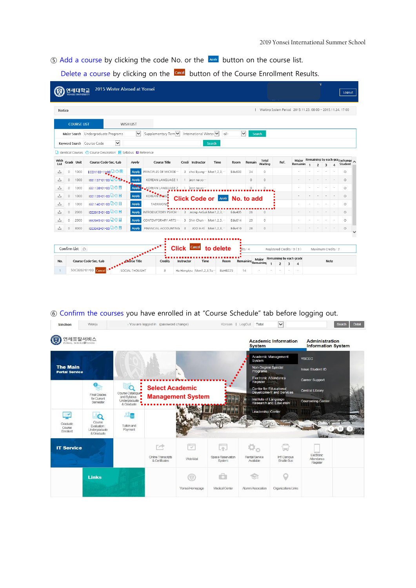**E** Add a course by clicking the code No. or the **APPM** button on the course list.

Delete a course by clicking on the **Concel** button of the Course Enrollment Results.

|              |         | 연세대학교<br><b>YONSEI UNIVERSITY</b> | 2015 Winter Abroad at Yonsei                                                       |                     |                        |            |                                |                                |        |                                |                  |                |                                                                             |   | Ñ                        |                         |                          | Logout                                    |
|--------------|---------|-----------------------------------|------------------------------------------------------------------------------------|---------------------|------------------------|------------|--------------------------------|--------------------------------|--------|--------------------------------|------------------|----------------|-----------------------------------------------------------------------------|---|--------------------------|-------------------------|--------------------------|-------------------------------------------|
| Notice       |         |                                   |                                                                                    |                     |                        |            |                                |                                |        |                                |                  |                | Waiting System Period 2015.11.23.08:00 ~ 2015.11.24.17:00                   |   |                          |                         |                          |                                           |
|              |         | <b>COURSE LIST</b>                |                                                                                    | WISH LIST           |                        |            |                                |                                |        |                                |                  |                |                                                                             |   |                          |                         |                          |                                           |
|              |         |                                   | Major Search Undergraduate Programs                                                | $\checkmark$        | Supplementary Tern V   |            | International Winter           | $-a$                           | ▽      |                                | Search           |                |                                                                             |   |                          |                         |                          |                                           |
|              |         |                                   | $\check{~}$<br>Keyword Search Course Code                                          |                     |                        |            |                                | Search                         |        |                                |                  |                |                                                                             |   |                          |                         |                          |                                           |
|              |         |                                   | $\Box$ I Identical Courses (2) Course Description $\Box$ Syllabus $\Box$ Reference |                     |                        |            |                                |                                |        |                                |                  |                |                                                                             |   |                          |                         |                          |                                           |
| Wish<br>List |         | Grade Unit                        | Course Code-Sec.-Lab                                                               | Apply               | Course Title           |            | Credi <sup>l</sup> Instructor  | Time                           | Room   | Remain                         | Total<br>Waiting | Ref.           | Maior<br>Remainin                                                           |   | $\overline{\phantom{a}}$ | $\overline{\mathbf{3}}$ | $\overline{\mathbf{4}}$  | Remaining by each gra Exchange<br>Student |
| 스            | $\circ$ | 1000                              | ECO1103-11.00 Q Q 国                                                                | <b>Apply</b>        | PRINCIPLES OF MICROE   |            | 3 choi Byung ··· Mon1.2.3. ··· |                                | Edu603 | 24                             | $\circ$          |                |                                                                             |   |                          | ٠                       | ٠                        | $\circ$                                   |
| ۵            | $\circ$ | 1000                              | IEE1137-01-00 00 2                                                                 | <b>Apply</b>        | KOREAN LANGUAGE 1      |            | 1 ieon na vo <sup></sup>       |                                |        | $\circ$                        | $\circ$          |                |                                                                             |   |                          |                         | ٠                        | $\circ$                                   |
| 스            | $\circ$ | 1000                              | IEE1138-01-00 QQ                                                                   | Apply               | KOREAN LANGUAGE 2      |            | 1 jeon na yo-                  |                                |        | $\circ$                        | $\circ$          |                |                                                                             | ÷ | ٠                        | ×                       | ٠                        | $\circ$                                   |
| 소            | $\circ$ | 1000                              | IEE1139-01-00 Q ② 国                                                                | <b>Apply</b>        | KOREAN LANGE           |            |                                | Click Code or Apply No. to add |        |                                |                  |                |                                                                             |   |                          |                         |                          | $\circ$                                   |
| 소            | $\circ$ | 1000                              | IEE1140-01-00 Q O 国                                                                | <b>Apply</b>        | <b>TAEKWOND</b>        |            |                                |                                |        |                                |                  |                |                                                                             |   |                          |                         | ×                        | O                                         |
| 스            | $\circ$ | 2000                              | IEE2019-01-00 Q ① 国                                                                | <b>Apply</b>        | INTRODUCTORY PSYCH ··· |            | 3 Jeong AnSuk Mon1.2.3         |                                | Edu405 | 26                             | $\circ$          |                |                                                                             |   |                          |                         | ٠                        | $\circ$                                   |
| 스            | 0       | 2000                              | IEE2045-01-00 Q O I                                                                | <b>Apply</b>        | CONTEMPORARY ARTS:     |            | 3 Shin Chun ··· Mon1,2,3, ···  |                                | Edu614 | 29                             | $\circ$          |                |                                                                             |   |                          |                         | ×                        | $\circ$                                   |
| 스            | $\circ$ | 3000                              | IEE3343-01-00 Q O I                                                                | <b>Apply</b>        | FINANCIAL ACCOUNTING 3 |            |                                | JOO In Ki Mon1.2.3.            | Edu410 | 26                             | $\circ$          |                |                                                                             |   |                          |                         | $\overline{\phantom{a}}$ | $\circ$                                   |
| No.          |         | Confirm List $\bigcirc$           | Course Code-Sec.-Lab                                                               | <b>Course</b> Title | Credits                | Instructor | <b>Click Cancel</b><br>Time    | to delete<br>Room              |        | dits: 4<br>Remaining Remaining | Major            | $\overline{2}$ | Registered Credits: 3 (3)<br>Remaining by each grade<br>з<br>$\overline{4}$ |   | Maximum Credits: 7       | Note                    |                          |                                           |
| 1            |         |                                   | SOC3202-01-00 Cancel                                                               | SOCIAL THOUGHT      | 3                      |            | Ha Hongkyu Mon1,2,3,Tu-        | BizHB225                       | 14     |                                |                  |                | ×<br>$\overline{\phantom{a}}$                                               |   |                          |                         |                          |                                           |

## ⑥ Confirm the courses you have enrolled in at "Course Schedule" tab before logging out.

| Sinchon                                          | Wonju                                                           |                                                                  | You are logged in (password change)        |                                      | Korean   LogOut                   | Total                                                                    | $\checkmark$                                                     |                                                               | Search | Detail |
|--------------------------------------------------|-----------------------------------------------------------------|------------------------------------------------------------------|--------------------------------------------|--------------------------------------|-----------------------------------|--------------------------------------------------------------------------|------------------------------------------------------------------|---------------------------------------------------------------|--------|--------|
| 연세포탈서비스<br>S<br>PORTAL SERVICE@YONSEL            |                                                                 |                                                                  |                                            |                                      |                                   | <b>System</b>                                                            | <b>Academic Information</b>                                      | <b>Administration</b><br><b>Information System</b>            |        |        |
| <b>The Main</b><br><b>Portal Service</b>         |                                                                 |                                                                  |                                            |                                      |                                   | System<br>Non-Degree Special<br><b>Programs</b><br>Electronic Attendance | Academic Management                                              | <b>YSCEC</b><br><b>Issue Student ID</b>                       |        |        |
|                                                  | <b>Final Grades</b><br>for Current<br>Semester                  | Course Catalogue<br>and Syllabus:<br>Undergraduate<br>& Graduate | <b>Select Academic</b>                     | <b>Management System</b>             |                                   | Register<br><b>Center for Educational</b><br>Institute of Language       | <b>Development and Services</b><br><b>Research and Education</b> | Career Support<br><b>Central Library</b><br>Counseling Center |        |        |
| $\rightarrow$<br>Graduate<br>Course<br>Enrollent | $\circ$<br>Course<br>Evaluation:<br>Undergraduate<br>& Graduate | е<br>Tuition and<br>Payment                                      |                                            |                                      |                                   | <b>Leadership Center</b>                                                 |                                                                  |                                                               |        |        |
| <b>IT Service</b>                                |                                                                 |                                                                  | re<br>Online Transcripts<br>& Certificates | $\overline{\mathcal{S}}$<br>Web Mail | r.<br>Space Reservation<br>System | Rental Service<br>Available                                              | Int'l Campus<br>Shuttle Bus                                      | Electronic<br>Attendance<br>Register                          |        |        |
|                                                  | <b>Links</b>                                                    |                                                                  |                                            | $\odot$<br>Yonsei Homepage           | aCh<br>Medical Center             | Alumni Association                                                       | Organizations Links                                              |                                                               |        |        |